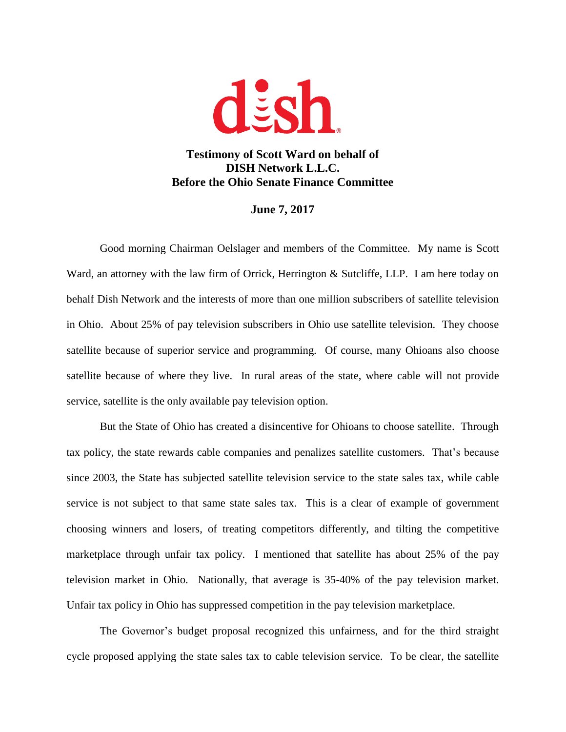

## **Testimony of Scott Ward on behalf of DISH Network L.L.C. Before the Ohio Senate Finance Committee**

## **June 7, 2017**

Good morning Chairman Oelslager and members of the Committee. My name is Scott Ward, an attorney with the law firm of Orrick, Herrington & Sutcliffe, LLP. I am here today on behalf Dish Network and the interests of more than one million subscribers of satellite television in Ohio. About 25% of pay television subscribers in Ohio use satellite television. They choose satellite because of superior service and programming. Of course, many Ohioans also choose satellite because of where they live. In rural areas of the state, where cable will not provide service, satellite is the only available pay television option.

But the State of Ohio has created a disincentive for Ohioans to choose satellite. Through tax policy, the state rewards cable companies and penalizes satellite customers. That's because since 2003, the State has subjected satellite television service to the state sales tax, while cable service is not subject to that same state sales tax. This is a clear of example of government choosing winners and losers, of treating competitors differently, and tilting the competitive marketplace through unfair tax policy. I mentioned that satellite has about 25% of the pay television market in Ohio. Nationally, that average is 35-40% of the pay television market. Unfair tax policy in Ohio has suppressed competition in the pay television marketplace.

The Governor's budget proposal recognized this unfairness, and for the third straight cycle proposed applying the state sales tax to cable television service. To be clear, the satellite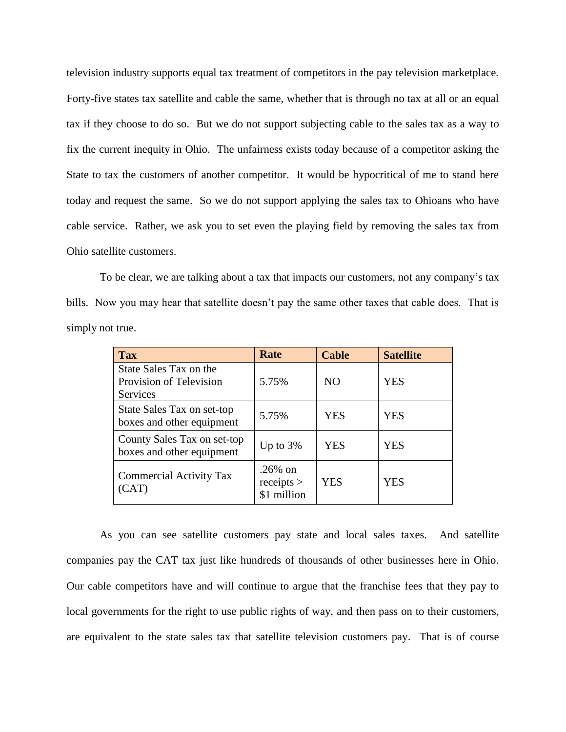television industry supports equal tax treatment of competitors in the pay television marketplace. Forty-five states tax satellite and cable the same, whether that is through no tax at all or an equal tax if they choose to do so. But we do not support subjecting cable to the sales tax as a way to fix the current inequity in Ohio. The unfairness exists today because of a competitor asking the State to tax the customers of another competitor. It would be hypocritical of me to stand here today and request the same. So we do not support applying the sales tax to Ohioans who have cable service. Rather, we ask you to set even the playing field by removing the sales tax from Ohio satellite customers.

To be clear, we are talking about a tax that impacts our customers, not any company's tax bills. Now you may hear that satellite doesn't pay the same other taxes that cable does. That is simply not true.

| <b>Tax</b>                                                    | Rate                                  | <b>Cable</b>   | <b>Satellite</b> |
|---------------------------------------------------------------|---------------------------------------|----------------|------------------|
| State Sales Tax on the<br>Provision of Television<br>Services | 5.75%                                 | N <sub>O</sub> | <b>YES</b>       |
| State Sales Tax on set-top<br>boxes and other equipment       | 5.75%                                 | <b>YES</b>     | <b>YES</b>       |
| County Sales Tax on set-top<br>boxes and other equipment      | Up to $3%$                            | YES            | YES              |
| <b>Commercial Activity Tax</b><br>(CAT)                       | $.26\%$ on<br>receipts<br>\$1 million | <b>YES</b>     | <b>YES</b>       |

As you can see satellite customers pay state and local sales taxes. And satellite companies pay the CAT tax just like hundreds of thousands of other businesses here in Ohio. Our cable competitors have and will continue to argue that the franchise fees that they pay to local governments for the right to use public rights of way, and then pass on to their customers, are equivalent to the state sales tax that satellite television customers pay. That is of course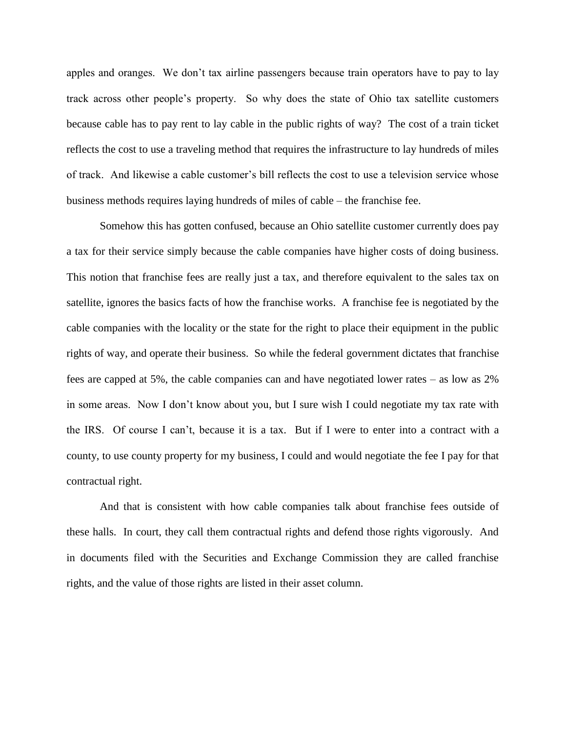apples and oranges. We don't tax airline passengers because train operators have to pay to lay track across other people's property. So why does the state of Ohio tax satellite customers because cable has to pay rent to lay cable in the public rights of way? The cost of a train ticket reflects the cost to use a traveling method that requires the infrastructure to lay hundreds of miles of track. And likewise a cable customer's bill reflects the cost to use a television service whose business methods requires laying hundreds of miles of cable – the franchise fee.

Somehow this has gotten confused, because an Ohio satellite customer currently does pay a tax for their service simply because the cable companies have higher costs of doing business. This notion that franchise fees are really just a tax, and therefore equivalent to the sales tax on satellite, ignores the basics facts of how the franchise works. A franchise fee is negotiated by the cable companies with the locality or the state for the right to place their equipment in the public rights of way, and operate their business. So while the federal government dictates that franchise fees are capped at 5%, the cable companies can and have negotiated lower rates – as low as 2% in some areas. Now I don't know about you, but I sure wish I could negotiate my tax rate with the IRS. Of course I can't, because it is a tax. But if I were to enter into a contract with a county, to use county property for my business, I could and would negotiate the fee I pay for that contractual right.

And that is consistent with how cable companies talk about franchise fees outside of these halls. In court, they call them contractual rights and defend those rights vigorously. And in documents filed with the Securities and Exchange Commission they are called franchise rights, and the value of those rights are listed in their asset column.